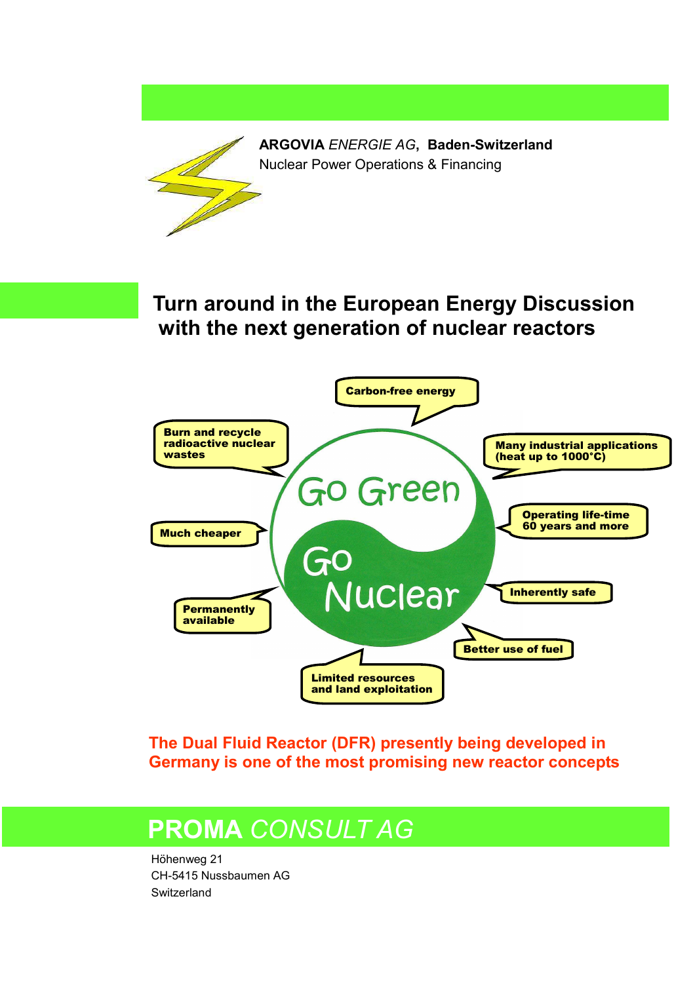

**The Dual Fluid Reactor (DFR) presently being developed in Germany is one of the most promising new reactor concepts** 

# **PROMA** *CONSULT AG*

 CH-5415 Nussbaumen AG -<br>- Switzerland Höhenweg 21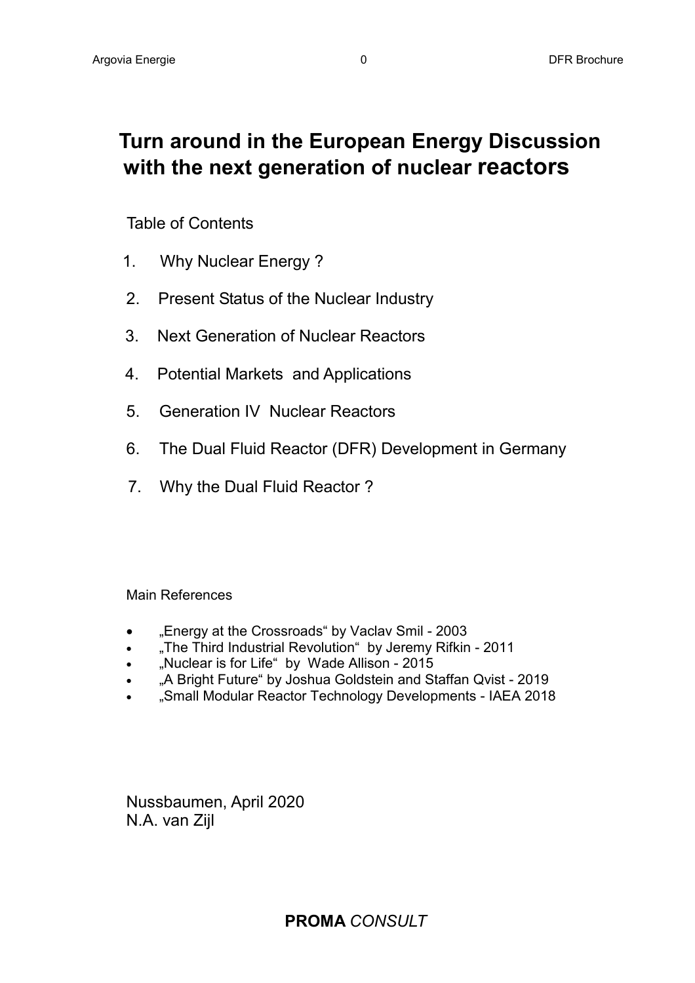## **Turn around in the European Energy Discussion with the next generation of nuclear reactors**

### Table of Contents

- 1. Why Nuclear Energy ?
- 2. Present Status of the Nuclear Industry
- 3. Next Generation of Nuclear Reactors
- 4. Potential Markets and Applications
- 5. Generation IV Nuclear Reactors
- 6. The Dual Fluid Reactor (DFR) Development in Germany
- 7. Why the Dual Fluid Reactor ?

#### Main References

- "Energy at the Crossroads" by Vaclav Smil 2003
- "The Third Industrial Revolution" by Jeremy Rifkin 2011
- "Nuclear is for Life" by Wade Allison 2015
- "A Bright Future" by Joshua Goldstein and Staffan Qvist 2019
- "Small Modular Reactor Technology Developments IAEA 2018

Nussbaumen, April 2020 N.A. van Zijl

**PROMA** *CONSULT*